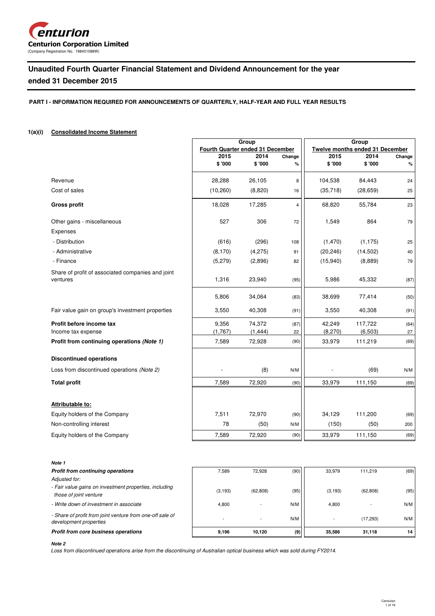

# **Unaudited Fourth Quarter Financial Statement and Dividend Announcement for the year**

# **ended 31 December 2015**

**PART I - INFORMATION REQUIRED FOR ANNOUNCEMENTS OF QUARTERLY, HALF-YEAR AND FULL YEAR RESULTS**

### **1(a)(i) Consolidated Income Statement**

|                                                                  |                                  | Group              |             | Group<br><b>Twelve months ended 31 December</b> |                    |                |  |
|------------------------------------------------------------------|----------------------------------|--------------------|-------------|-------------------------------------------------|--------------------|----------------|--|
|                                                                  | Fourth Quarter ended 31 December |                    |             |                                                 |                    |                |  |
|                                                                  | 2015<br>\$ '000                  | 2014<br>\$'000     | Change<br>% | 2015<br>\$'000                                  | 2014<br>\$ '000    | Change<br>$\%$ |  |
|                                                                  |                                  |                    |             |                                                 |                    |                |  |
| Revenue                                                          | 28,288                           | 26,105             | 8           | 104,538                                         | 84,443             | 24             |  |
| Cost of sales                                                    | (10, 260)                        | (8,820)            | 16          | (35, 718)                                       | (28, 659)          | 25             |  |
| <b>Gross profit</b>                                              | 18,028                           | 17,285             | 4           | 68,820                                          | 55,784             | 23             |  |
| Other gains - miscellaneous                                      | 527                              | 306                | 72          | 1,549                                           | 864                | 79             |  |
| Expenses                                                         |                                  |                    |             |                                                 |                    |                |  |
| - Distribution                                                   | (616)                            | (296)              | 108         | (1, 470)                                        | (1, 175)           | 25             |  |
| - Administrative                                                 | (8, 170)                         | (4,275)            | 91          | (20, 246)                                       | (14, 502)          | 40             |  |
| - Finance                                                        | (5,279)                          | (2,896)            | 82          | (15, 940)                                       | (8,889)            | 79             |  |
| Share of profit of associated companies and joint<br>ventures    | 1,316                            | 23,940             | (95)        | 5,986                                           | 45,332             | (87)           |  |
|                                                                  | 5,806                            | 34,064             | (83)        | 38,699                                          | 77,414             | (50)           |  |
| Fair value gain on group's investment properties                 | 3,550                            | 40,308             | (91)        | 3,550                                           | 40,308             | (91)           |  |
| Profit before income tax                                         | 9,356<br>(1,767)                 | 74,372<br>(1, 444) | (87)<br>22  | 42,249<br>(8, 270)                              | 117,722<br>(6,503) | (64)<br>27     |  |
| Income tax expense<br>Profit from continuing operations (Note 1) | 7,589                            | 72,928             | (90)        | 33,979                                          | 111,219            | (69)           |  |
|                                                                  |                                  |                    |             |                                                 |                    |                |  |
| <b>Discontinued operations</b>                                   |                                  |                    |             |                                                 |                    |                |  |
| Loss from discontinued operations (Note 2)                       |                                  | (8)                | N/M         |                                                 | (69)               | N/M            |  |
| <b>Total profit</b>                                              | 7,589                            | 72,920             | (90)        | 33,979                                          | 111,150            | (69)           |  |
|                                                                  |                                  |                    |             |                                                 |                    |                |  |
| Attributable to:                                                 |                                  |                    |             |                                                 |                    |                |  |
| Equity holders of the Company                                    | 7,511                            | 72,970             | (90)        | 34,129                                          | 111,200            | (69)           |  |
| Non-controlling interest                                         | 78                               | (50)               | N/M         | (150)                                           | (50)               | 200            |  |
| Equity holders of the Company                                    | 7,589                            | 72,920             | (90)        | 33,979                                          | 111,150            | (69)           |  |
|                                                                  |                                  |                    |             |                                                 |                    |                |  |

**Note 1**

| <b>Profit from continuing operations</b>                                            | 7.589    | 72.928    | (90) | 33.979   | 111.219   | (69) |
|-------------------------------------------------------------------------------------|----------|-----------|------|----------|-----------|------|
| Adjusted for:                                                                       |          |           |      |          |           |      |
| - Fair value gains on investment properties, including<br>those of joint venture    | (3, 193) | (62, 808) | (95) | (3, 193) | (62, 808) | (95) |
| - Write down of investment in associate                                             | 4,800    |           | N/M  | 4.800    |           | N/M  |
| - Share of profit from joint venture from one-off sale of<br>development properties |          |           | N/M  |          | (17, 293) | N/M  |
| Profit from core business operations                                                | 9.196    | 10.120    | (9)  | 35.586   | 31.118    | 14   |

#### **Note 2**

Loss from discontinued operations arise from the discontinuing of Australian optical business which was sold during FY2014.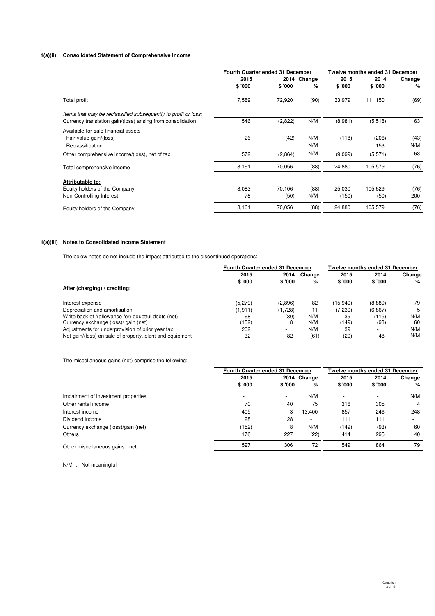### **1(a)(ii) Consolidated Statement of Comprehensive Income**

|                                                                                                                               | <b>Fourth Quarter ended 31 December</b> |                |                  | Twelve months ended 31 December |                 |             |  |
|-------------------------------------------------------------------------------------------------------------------------------|-----------------------------------------|----------------|------------------|---------------------------------|-----------------|-------------|--|
|                                                                                                                               | 2015<br>\$ '000                         | \$'000         | 2014 Change<br>% | 2015<br>\$ '000                 | 2014<br>\$'000  | Change<br>% |  |
| Total profit                                                                                                                  | 7,589                                   | 72,920         | (90)             | 33,979                          | 111,150         | (69)        |  |
| Items that may be reclassified subsequently to profit or loss:<br>Currency translation gain/(loss) arising from consolidation | 546                                     | (2,822)        | N/M              | (8,981)                         | (5,518)         | 63          |  |
| Available-for-sale financial assets                                                                                           |                                         |                |                  |                                 |                 |             |  |
| - Fair value gain/(loss)<br>- Reclassification                                                                                | 26                                      | (42)           | N/M<br>N/M       | (118)                           | (206)<br>153    | (43)<br>N/M |  |
| Other comprehensive income/(loss), net of tax                                                                                 | 572                                     | (2,864)        | N/M              | (9,099)                         | (5,571)         | 63          |  |
| Total comprehensive income                                                                                                    | 8,161                                   | 70,056         | (88)             | 24,880                          | 105,579         | (76)        |  |
| Attributable to:                                                                                                              |                                         |                |                  |                                 |                 |             |  |
| Equity holders of the Company<br>Non-Controlling Interest                                                                     | 8,083<br>78                             | 70,106<br>(50) | (88)<br>N/M      | 25.030<br>(150)                 | 105,629<br>(50) | (76)<br>200 |  |
| Equity holders of the Company                                                                                                 | 8,161                                   | 70,056         | (88)             | 24,880                          | 105,579         | (76)        |  |

### **1(a)(iii) Notes to Consolidated Income Statement**

The below notes do not include the impact attributed to the discontinued operations:

|                                                                                             | <b>Fourth Quarter ended 31 December</b> |         |            |             | Twelve months ended 31 December |           |
|---------------------------------------------------------------------------------------------|-----------------------------------------|---------|------------|-------------|---------------------------------|-----------|
|                                                                                             | 2015                                    | 2014    | Changel    | 2015        | 2014                            | Change    |
|                                                                                             | \$'000                                  | \$'000  | %          | \$'000      | \$'000                          | %         |
| After (charging) / crediting:                                                               |                                         |         |            |             |                                 |           |
| Interest expense                                                                            | (5, 279)                                | (2,896) | 82         | (15,940)    | (8,889)                         | 79        |
| Depreciation and amortisation                                                               | (1, 911)                                | (1,728) |            | (7, 230)    | (6.867)                         |           |
| Write back of /(allowance for) doubtful debts (net)<br>Currency exchange (loss)/ gain (net) | 68<br>(152)                             | (30)    | N/M<br>N/M | 39<br>(149) | (115)<br>(93)                   | N/M<br>60 |
| Adjustments for underprovision of prior year tax                                            | 202                                     |         | N/M        | 39          |                                 | N/M       |
| Net gain/(loss) on sale of property, plant and equipment                                    | 32                                      | 82      | (61)       | (20)        | 48                              | N/M       |

The miscellaneous gains (net) comprise the following:

|                                     |         | Fourth Quarter ended 31 December |             |         | Twelve months ended 31 December |        |  |  |
|-------------------------------------|---------|----------------------------------|-------------|---------|---------------------------------|--------|--|--|
|                                     | 2015    |                                  | 2014 Change | 2015    | 2014                            | Change |  |  |
|                                     | \$ '000 | \$ '000                          | %           | \$ '000 | \$ '000                         | %      |  |  |
| Impairment of investment properties |         | $\overline{\phantom{a}}$         | N/M         |         |                                 | N/M    |  |  |
| Other rental income                 | 70      | 40                               | 75          | 316     | 305                             | 4      |  |  |
| Interest income                     | 405     | 3                                | 13,400      | 857     | 246                             | 248    |  |  |
| Dividend income                     | 28      | 28                               |             | 111     | 111                             |        |  |  |
| Currency exchange (loss)/gain (net) | (152)   | 8                                | N/M         | (149)   | (93)                            | 60     |  |  |
| Others                              | 176     | 227                              | (22)        | 414     | 295                             | 40     |  |  |
|                                     | 527     | 306                              | 72          | 1.549   | 864                             | 79     |  |  |
| Other miscellaneous gains - net     |         |                                  |             |         |                                 |        |  |  |

N/M : Not meaningful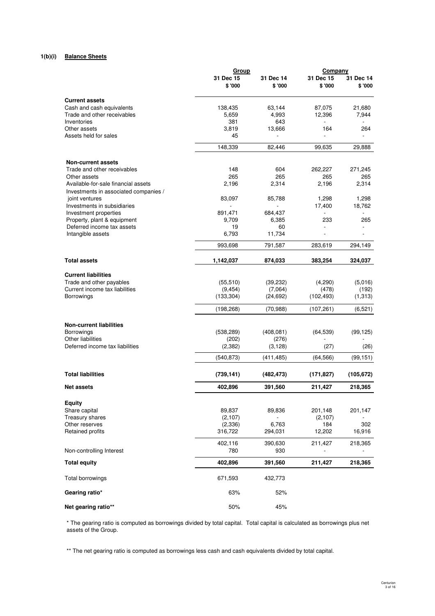## **1(b)(i) Balance Sheets**

|                                                           | <u>Group</u>        |                      | <b>Company</b>            |                     |  |
|-----------------------------------------------------------|---------------------|----------------------|---------------------------|---------------------|--|
|                                                           | 31 Dec 15<br>\$'000 | 31 Dec 14<br>\$ '000 | 31 Dec 15<br>\$'000       | 31 Dec 14<br>\$'000 |  |
| <b>Current assets</b>                                     |                     |                      |                           |                     |  |
| Cash and cash equivalents                                 | 138,435             | 63,144               | 87,075                    | 21,680              |  |
| Trade and other receivables                               | 5,659               | 4,993                | 12,396                    | 7,944               |  |
| Inventories                                               | 381                 | 643                  |                           |                     |  |
| Other assets                                              | 3,819               | 13,666               | 164                       | 264                 |  |
| Assets held for sales                                     | 45                  |                      |                           |                     |  |
|                                                           | 148,339             | 82,446               | 99,635                    | 29,888              |  |
| <b>Non-current assets</b>                                 |                     |                      |                           |                     |  |
| Trade and other receivables                               | 148                 | 604                  | 262,227                   | 271,245             |  |
| Other assets                                              | 265                 | 265                  | 265                       | 265                 |  |
| Available-for-sale financial assets                       | 2,196               | 2,314                | 2,196                     | 2,314               |  |
| Investments in associated companies /                     |                     |                      |                           |                     |  |
| joint ventures                                            | 83,097              | 85,788               | 1,298                     | 1,298               |  |
| Investments in subsidiaries                               |                     |                      | 17,400                    | 18,762              |  |
| Investment properties                                     | 891,471             | 684,437              |                           |                     |  |
| Property, plant & equipment<br>Deferred income tax assets | 9,709               | 6,385                | 233<br>L,                 | 265                 |  |
| Intangible assets                                         | 19<br>6,793         | 60<br>11,734         |                           |                     |  |
|                                                           | 993,698             | 791,587              | 283,619                   | 294,149             |  |
|                                                           |                     |                      |                           |                     |  |
| <b>Total assets</b>                                       | 1,142,037           | 874,033              | 383,254                   | 324,037             |  |
| <b>Current liabilities</b>                                |                     |                      |                           |                     |  |
| Trade and other payables                                  | (55, 510)           | (39, 232)            | (4,290)                   | (5,016)             |  |
| Current income tax liabilities                            | (9, 454)            | (7,064)              | (478)                     | (192)               |  |
| <b>Borrowings</b>                                         | (133, 304)          | (24, 692)            | (102, 493)                | (1, 313)            |  |
|                                                           | (198, 268)          | (70,988)             | (107, 261)                | (6,521)             |  |
| <b>Non-current liabilities</b>                            |                     |                      |                           |                     |  |
| <b>Borrowings</b>                                         | (538, 289)          | (408, 081)           | (64, 539)                 | (99, 125)           |  |
| Other liabilities                                         | (202)               | (276)                |                           |                     |  |
| Deferred income tax liabilities                           | (2,382)             | (3, 128)             | (27)                      | (26)                |  |
|                                                           | (540, 873)          | (411, 485)           | (64, 566)                 | (99, 151)           |  |
|                                                           |                     |                      |                           |                     |  |
| <b>Total liabilities</b>                                  | (739, 141)          | (482, 473)           | (171, 827)                | (105, 672)          |  |
| <b>Net assets</b>                                         | 402,896             | 391,560              | 211,427                   | 218,365             |  |
| <b>Equity</b>                                             |                     |                      |                           |                     |  |
| Share capital                                             | 89,837              | 89,836               | 201,148                   | 201,147             |  |
| Treasury shares                                           | (2, 107)            |                      | (2,107)                   |                     |  |
| Other reserves                                            | (2,336)             | 6,763                | 184                       | 302                 |  |
| Retained profits                                          | 316,722             | 294,031              | 12,202                    | 16,916              |  |
|                                                           |                     |                      |                           |                     |  |
| Non-controlling Interest                                  | 402,116<br>780      | 390,630<br>930       | 211,427<br>$\overline{a}$ | 218,365             |  |
|                                                           | 402,896             |                      | 211,427                   |                     |  |
| <b>Total equity</b>                                       |                     | 391,560              |                           | 218,365             |  |
| Total borrowings                                          | 671,593             | 432,773              |                           |                     |  |
| Gearing ratio*                                            | 63%                 | 52%                  |                           |                     |  |
| Net gearing ratio**                                       | 50%                 | 45%                  |                           |                     |  |

# \* The gearing ratio is computed as borrowings divided by total capital. Total capital is calculated as borrowings plus net assets of the Group.

\*\* The net gearing ratio is computed as borrowings less cash and cash equivalents divided by total capital.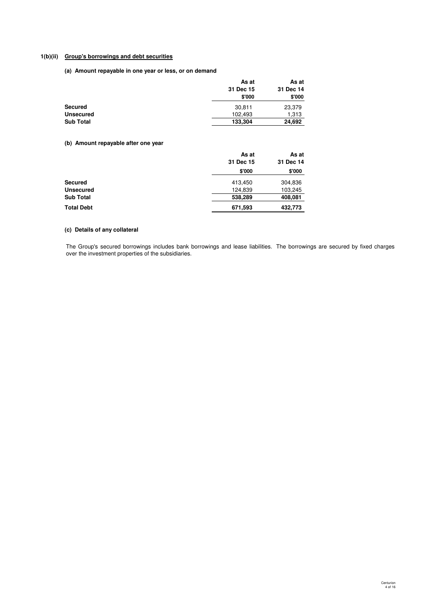### **1(b)(ii) Group's borrowings and debt securities**

**(a) Amount repayable in one year or less, or on demand**

|                  | As at     | As at     |
|------------------|-----------|-----------|
|                  | 31 Dec 15 | 31 Dec 14 |
|                  | \$'000    | \$'000    |
| <b>Secured</b>   | 30,811    | 23,379    |
| <b>Unsecured</b> | 102.493   | 1,313     |
| <b>Sub Total</b> | 133,304   | 24,692    |

# **(b) Amount repayable after one year**

|                   | As at     | As at     |
|-------------------|-----------|-----------|
|                   | 31 Dec 15 | 31 Dec 14 |
|                   | \$'000    | \$'000    |
| <b>Secured</b>    | 413,450   | 304,836   |
| <b>Unsecured</b>  | 124,839   | 103,245   |
| <b>Sub Total</b>  | 538,289   | 408,081   |
| <b>Total Debt</b> | 671,593   | 432,773   |

### **(c) Details of any collateral**

The Group's secured borrowings includes bank borrowings and lease liabilities. The borrowings are secured by fixed charges over the investment properties of the subsidiaries.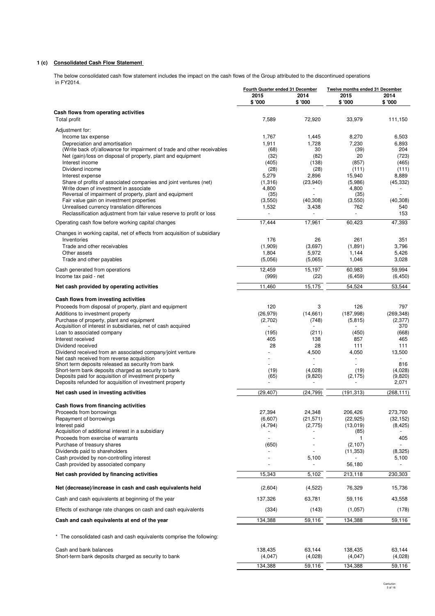# **1 (c) Consolidated Cash Flow Statement**

The below consolidated cash flow statement includes the impact on the cash flows of the Group attributed to the discontinued operations in FY2014.

|                                                                                                                  | Fourth Quarter ended 31 December |                      | <b>Twelve months ended 31 December</b> |                       |
|------------------------------------------------------------------------------------------------------------------|----------------------------------|----------------------|----------------------------------------|-----------------------|
|                                                                                                                  | 2015<br>\$ '000                  | 2014<br>\$'000       | 2015<br>\$ '000                        | 2014<br>\$'000        |
|                                                                                                                  |                                  |                      |                                        |                       |
| Cash flows from operating activities<br>Total profit                                                             | 7,589                            | 72,920               | 33,979                                 | 111,150               |
|                                                                                                                  |                                  |                      |                                        |                       |
| Adjustment for:                                                                                                  |                                  |                      |                                        |                       |
| Income tax expense<br>Depreciation and amortisation                                                              | 1,767<br>1,911                   | 1,445<br>1,728       | 8,270<br>7,230                         | 6,503<br>6,893        |
| (Write back of)/allowance for impairment of trade and other receivables                                          | (68)                             | 30                   | (39)                                   | 204                   |
| Net (gain)/loss on disposal of property, plant and equipment                                                     | (32)                             | (82)                 | 20                                     | (723)                 |
| Interest income                                                                                                  | (405)                            | (138)                | (857)                                  | (465)                 |
| Dividend income                                                                                                  | (28)                             | (28)                 | (111)                                  | (111)                 |
| Interest expense                                                                                                 | 5,279                            | 2,896                | 15,940                                 | 8,889                 |
| Share of profits of associated companies and joint ventures (net)                                                | (1,316)                          | (23,940)             | (5,986)                                | (45, 332)             |
| Write down of investment in associate<br>Reversal of impairment of property, plant and equipment                 | 4,800<br>(35)                    |                      | 4,800<br>(35)                          |                       |
| Fair value gain on investment properties                                                                         | (3,550)                          | (40, 308)            | (3,550)                                | (40, 308)             |
| Unrealised currency translation differences                                                                      | 1,532                            | 3,438                | 762                                    | 540                   |
| Reclassification adjustment from fair value reserve to profit or loss                                            |                                  |                      | L.                                     | 153                   |
| Operating cash flow before working capital changes                                                               | 17,444                           | 17,961               | 60,423                                 | 47,393                |
| Changes in working capital, net of effects from acquisition of subsidiary                                        |                                  |                      |                                        |                       |
| Inventories                                                                                                      | 176                              | 26                   | 261                                    | 351                   |
| Trade and other receivables                                                                                      | (1,909)                          | (3,697)              | (1,891)                                | 3,796                 |
| Other assets                                                                                                     | 1,804                            | 5,972                | 1,144                                  | 5,426                 |
| Trade and other payables                                                                                         | (5,056)                          | (5,065)              | 1,046                                  | 3,028                 |
| Cash generated from operations                                                                                   | 12,459                           | 15,197               | 60,983                                 | 59.994                |
| Income tax paid - net                                                                                            | (999)                            | (22)                 | (6, 459)                               | (6, 450)              |
| Net cash provided by operating activities                                                                        | 11,460                           | 15,175               | 54,524                                 | 53,544                |
| Cash flows from investing activities                                                                             |                                  |                      |                                        |                       |
| Proceeds from disposal of property, plant and equipment                                                          | 120                              | 3                    | 126                                    | 797                   |
| Additions to investment property                                                                                 | (26, 979)                        | (14, 661)            | (187,998)                              | (269, 348)            |
| Purchase of property, plant and equipment                                                                        | (2,702)                          | (748)                | (5, 815)                               | (2, 377)              |
| Acquisition of interest in subsidiaries, net of cash acquired                                                    |                                  |                      |                                        | 370                   |
| Loan to associated company                                                                                       | (195)                            | (211)                | (450)                                  | (668)                 |
| Interest received                                                                                                | 405                              | 138<br>28            | 857                                    | 465                   |
| Dividend received<br>Dividend received from an associated company/joint venture                                  | 28                               | 4,500                | 111<br>4,050                           | 111<br>13,500         |
| Net cash received from reverse acquisition                                                                       |                                  |                      |                                        |                       |
| Short term deposits released as security from bank                                                               |                                  |                      |                                        | 816                   |
| Short-term bank deposits charged as security to bank                                                             | (19)                             | (4,028)              | (19)                                   | (4,028)               |
| Deposits paid for acquisition of investment property<br>Deposits refunded for acquisition of investment property | (65)                             | (9,820)              | (2, 175)                               | (9,820)<br>2,071      |
|                                                                                                                  |                                  |                      |                                        |                       |
| Net cash used in investing activities                                                                            | (29, 407)                        | (24, 799)            | (191, 313)                             | (268, 111)            |
| Cash flows from financing activities                                                                             |                                  |                      |                                        |                       |
| Proceeds from borrowings                                                                                         | 27,394<br>(6,607)                | 24,348               | 206,426                                | 273,700               |
| Repayment of borrowings<br>Interest paid                                                                         | (4,794)                          | (21, 571)<br>(2,775) | (22, 925)<br>(13,019)                  | (32, 152)<br>(8, 425) |
| Acquisition of additional interest in a subsidiary                                                               |                                  |                      | (85)                                   |                       |
| Proceeds from exercise of warrants                                                                               |                                  | $\sim$               | $\mathbf{1}$                           | 405                   |
| Purchase of treasury shares                                                                                      | (650)                            |                      | (2, 107)                               |                       |
| Dividends paid to shareholders                                                                                   |                                  |                      | (11, 353)                              | (8,325)               |
| Cash provided by non-controlling interest<br>Cash provided by associated company                                 | $\overline{\phantom{a}}$         | 5,100                | 56,180                                 | 5,100                 |
| Net cash provided by financing activities                                                                        | 15,343                           | 5,102                | 213,118                                | 230,303               |
| Net (decrease)/increase in cash and cash equivalents held                                                        | (2,604)                          | (4,522)              | 76,329                                 | 15,736                |
|                                                                                                                  |                                  |                      |                                        |                       |
| Cash and cash equivalents at beginning of the year                                                               | 137,326                          | 63,781               | 59,116                                 | 43,558                |
| Effects of exchange rate changes on cash and cash equivalents                                                    | (334)                            | (143)                | (1,057)                                | (178)                 |
| Cash and cash equivalents at end of the year                                                                     | 134,388                          | 59,116               | 134,388                                | 59,116                |
| * The consolidated cash and cash equivalents comprise the following:                                             |                                  |                      |                                        |                       |
| Cash and bank balances                                                                                           | 138,435                          | 63,144               | 138,435                                | 63,144                |
| Short-term bank deposits charged as security to bank                                                             | (4,047)                          | (4,028)              | (4,047)                                | (4,028)               |
|                                                                                                                  | 134,388                          | 59,116               | 134,388                                | 59,116                |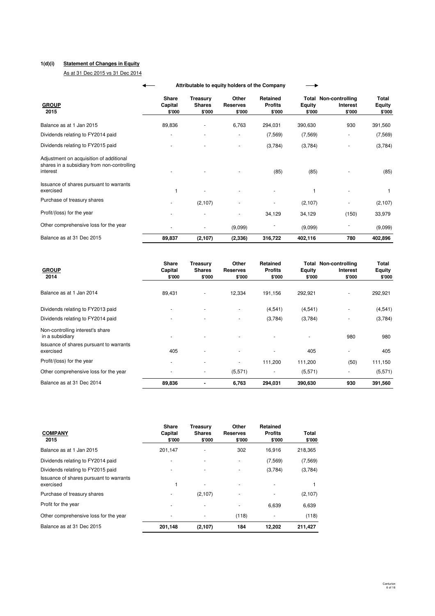### **1(d)(i) Statement of Changes in Equity**

As at 31 Dec 2015 vs 31 Dec 2014

|                                                                                                    | Attributable to equity holders of the Company |                                   |                                            |                             |                                      |                         |                                                    |                           |
|----------------------------------------------------------------------------------------------------|-----------------------------------------------|-----------------------------------|--------------------------------------------|-----------------------------|--------------------------------------|-------------------------|----------------------------------------------------|---------------------------|
| <b>GROUP</b><br>2015                                                                               |                                               | <b>Share</b><br>Capital<br>\$'000 | <b>Treasury</b><br><b>Shares</b><br>\$'000 | Other<br>Reserves<br>\$'000 | Retained<br><b>Profits</b><br>\$'000 | <b>Equity</b><br>\$'000 | <b>Total Non-controlling</b><br>Interest<br>\$'000 | Total<br>Equity<br>\$'000 |
| Balance as at 1 Jan 2015                                                                           |                                               | 89,836                            |                                            | 6,763                       | 294,031                              | 390,630                 | 930                                                | 391,560                   |
| Dividends relating to FY2014 paid                                                                  |                                               |                                   |                                            |                             | (7, 569)                             | (7, 569)                |                                                    | (7, 569)                  |
| Dividends relating to FY2015 paid                                                                  |                                               |                                   |                                            |                             | (3,784)                              | (3,784)                 |                                                    | (3,784)                   |
| Adjustment on acquisition of additional<br>shares in a subsidiary from non-controlling<br>interest |                                               |                                   |                                            |                             | (85)                                 | (85)                    |                                                    | (85)                      |
| Issuance of shares pursuant to warrants<br>exercised                                               |                                               |                                   |                                            |                             |                                      |                         |                                                    |                           |
| Purchase of treasury shares                                                                        |                                               |                                   | (2,107)                                    |                             |                                      | (2, 107)                |                                                    | (2, 107)                  |
| Profit/(loss) for the year                                                                         |                                               |                                   |                                            |                             | 34,129                               | 34,129                  | (150)                                              | 33,979                    |
| Other comprehensive loss for the year                                                              |                                               |                                   |                                            | (9,099)                     |                                      | (9,099)                 |                                                    | (9,099)                   |
| Balance as at 31 Dec 2015                                                                          |                                               | 89,837                            | (2, 107)                                   | (2, 336)                    | 316,722                              | 402,116                 | 780                                                | 402,896                   |

| <b>GROUP</b><br>2014                                 | <b>Share</b><br>Capital<br>\$'000 | Treasury<br><b>Shares</b><br>\$'000 | Other<br><b>Reserves</b><br>\$'000 | Retained<br><b>Profits</b><br>\$'000 | <b>Equity</b><br>\$'000 | <b>Total Non-controlling</b><br><b>Interest</b><br>\$'000 | Total<br><b>Equity</b><br>\$'000 |
|------------------------------------------------------|-----------------------------------|-------------------------------------|------------------------------------|--------------------------------------|-------------------------|-----------------------------------------------------------|----------------------------------|
| Balance as at 1 Jan 2014                             | 89,431                            |                                     | 12,334                             | 191,156                              | 292,921                 | ä,                                                        | 292,921                          |
| Dividends relating to FY2013 paid                    |                                   |                                     |                                    | (4,541)                              | (4, 541)                |                                                           | (4,541)                          |
| Dividends relating to FY2014 paid                    |                                   |                                     |                                    | (3,784)                              | (3,784)                 |                                                           | (3,784)                          |
| Non-controlling interest's share<br>in a subsidiary  |                                   |                                     |                                    |                                      |                         | 980                                                       | 980                              |
| Issuance of shares pursuant to warrants<br>exercised | 405                               |                                     |                                    | ٠                                    | 405                     |                                                           | 405                              |
| Profit/(loss) for the year                           | $\overline{\phantom{a}}$          |                                     |                                    | 111,200                              | 111,200                 | (50)                                                      | 111,150                          |
| Other comprehensive loss for the year                |                                   |                                     | (5,571)                            | ٠                                    | (5,571)                 | ٠                                                         | (5,571)                          |
| Balance as at 31 Dec 2014                            | 89,836                            |                                     | 6,763                              | 294,031                              | 390,630                 | 930                                                       | 391,560                          |

| <b>COMPANY</b><br>2015                               | Share<br>Capital<br>\$'000 | <b>Treasurv</b><br><b>Shares</b><br>\$'000 | Other<br>Reserves<br>\$'000 | <b>Retained</b><br><b>Profits</b><br>\$'000 | Total<br>\$'000 |
|------------------------------------------------------|----------------------------|--------------------------------------------|-----------------------------|---------------------------------------------|-----------------|
| Balance as at 1 Jan 2015                             | 201,147                    |                                            | 302                         | 16,916                                      | 218,365         |
| Dividends relating to FY2014 paid                    |                            |                                            | ٠                           | (7, 569)                                    | (7, 569)        |
| Dividends relating to FY2015 paid                    |                            |                                            |                             | (3,784)                                     | (3,784)         |
| Issuance of shares pursuant to warrants<br>exercised |                            | ٠                                          | ۰                           |                                             |                 |
| Purchase of treasury shares                          |                            | (2, 107)                                   | ٠                           |                                             | (2, 107)        |
| Profit for the year                                  |                            |                                            |                             | 6,639                                       | 6,639           |
| Other comprehensive loss for the year                |                            |                                            | (118)                       |                                             | (118)           |
| Balance as at 31 Dec 2015                            | 201,148                    | (2,107)                                    | 184                         | 12,202                                      | 211,427         |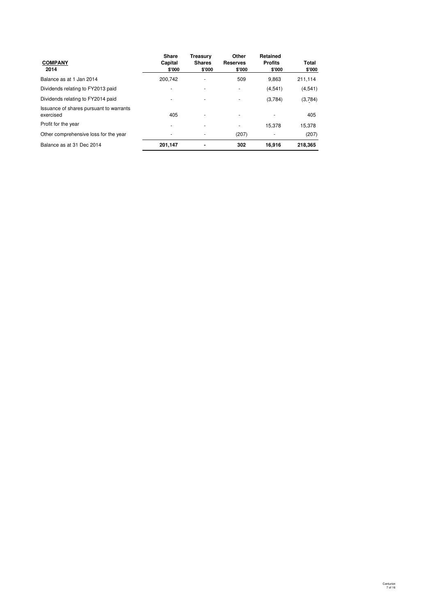| <b>COMPANY</b><br>2014                               | Share<br>Capital<br>\$'000 | Treasury<br><b>Shares</b><br>\$'000 | Other<br><b>Reserves</b><br>\$'000 | Retained<br><b>Profits</b><br>\$'000 | Total<br>\$'000 |
|------------------------------------------------------|----------------------------|-------------------------------------|------------------------------------|--------------------------------------|-----------------|
| Balance as at 1 Jan 2014                             | 200.742                    | ۰                                   | 509                                | 9,863                                | 211.114         |
| Dividends relating to FY2013 paid                    |                            |                                     | $\overline{\phantom{a}}$           | (4, 541)                             | (4,541)         |
| Dividends relating to FY2014 paid                    |                            | ٠                                   | ٠                                  | (3,784)                              | (3,784)         |
| Issuance of shares pursuant to warrants<br>exercised | 405                        | ٠                                   | $\overline{\phantom{a}}$           | ۰                                    | 405             |
| Profit for the year                                  |                            |                                     | $\overline{\phantom{a}}$           | 15.378                               | 15.378          |
| Other comprehensive loss for the year                |                            |                                     | (207)                              |                                      | (207)           |
| Balance as at 31 Dec 2014                            | 201,147                    |                                     | 302                                | 16.916                               | 218.365         |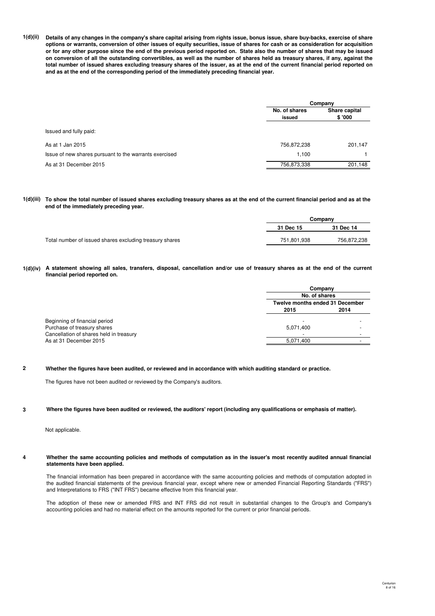**1(d)(ii) Details of any changes in the company's share capital arising from rights issue, bonus issue, share buy-backs, exercise of share options or warrants, conversion of other issues of equity securities, issue of shares for cash or as consideration for acquisition or for any other purpose since the end of the previous period reported on. State also the number of shares that may be issued on conversion of all the outstanding convertibles, as well as the number of shares held as treasury shares, if any, against the total number of issued shares excluding treasury shares of the issuer, as at the end of the current financial period reported on and as at the end of the corresponding period of the immediately preceding financial year.**

|                                                        | Company                                            |         |  |
|--------------------------------------------------------|----------------------------------------------------|---------|--|
|                                                        | No. of shares<br>Share capital<br>\$'000<br>issued |         |  |
| Issued and fully paid:                                 |                                                    |         |  |
| As at 1 Jan 2015                                       | 756,872,238                                        | 201,147 |  |
| Issue of new shares pursuant to the warrants exercised | 1.100                                              |         |  |
| As at 31 December 2015                                 | 756,873,338                                        | 201,148 |  |

**1(d)(iii) To show the total number of issued shares excluding treasury shares as at the end of the current financial period and as at the end of the immediately preceding year.**

|                                                         | Company     |             |  |
|---------------------------------------------------------|-------------|-------------|--|
|                                                         | 31 Dec 15   | 31 Dec 14   |  |
| Total number of issued shares excluding treasury shares | 751.801.938 | 756.872.238 |  |

**1(d)(iv) A statement showing all sales, transfers, disposal, cancellation and/or use of treasury shares as at the end of the current financial period reported on.**

|                                         | Company                  |                                        |  |  |
|-----------------------------------------|--------------------------|----------------------------------------|--|--|
|                                         | No. of shares            |                                        |  |  |
|                                         |                          | <b>Twelve months ended 31 December</b> |  |  |
|                                         | 2015                     | 2014                                   |  |  |
| Beginning of financial period           | $\overline{\phantom{a}}$ | -                                      |  |  |
| Purchase of treasury shares             | 5,071,400                | -                                      |  |  |
| Cancellation of shares held in treasury | -                        | $\overline{\phantom{a}}$               |  |  |
| As at 31 December 2015                  | 5,071,400                | -                                      |  |  |

**2 Whether the figures have been audited, or reviewed and in accordance with which auditing standard or practice.**

The figures have not been audited or reviewed by the Company's auditors.

**3 Where the figures have been audited or reviewed, the auditors' report (including any qualifications or emphasis of matter).**

Not applicable.

**4 Whether the same accounting policies and methods of computation as in the issuer's most recently audited annual financial statements have been applied.**

The financial information has been prepared in accordance with the same accounting policies and methods of computation adopted in the audited financial statements of the previous financial year, except where new or amended Financial Reporting Standards ("FRS") and Interpretations to FRS ("INT FRS") became effective from this financial year.

The adoption of these new or amended FRS and INT FRS did not result in substantial changes to the Group's and Company's accounting policies and had no material effect on the amounts reported for the current or prior financial periods.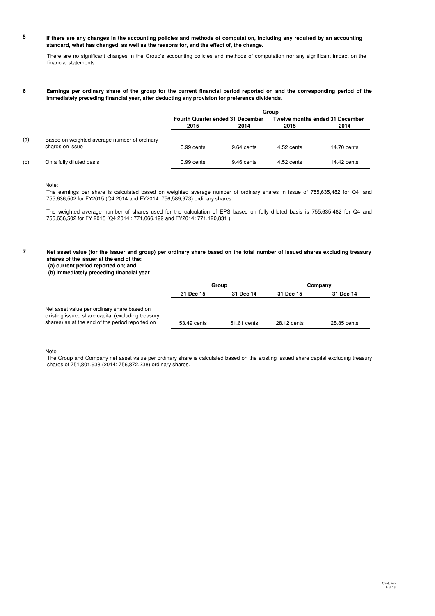#### **5 If there are any changes in the accounting policies and methods of computation, including any required by an accounting standard, what has changed, as well as the reasons for, and the effect of, the change.**

There are no significant changes in the Group's accounting policies and methods of computation nor any significant impact on the financial statements.

#### **6 Earnings per ordinary share of the group for the current financial period reported on and the corresponding period of the immediately preceding financial year, after deducting any provision for preference dividends.**

|     |                                                                 | Group                                   |            |                                        |             |  |
|-----|-----------------------------------------------------------------|-----------------------------------------|------------|----------------------------------------|-------------|--|
|     |                                                                 | <b>Fourth Quarter ended 31 December</b> |            | <b>Twelve months ended 31 December</b> |             |  |
|     |                                                                 | 2015                                    | 2014       | 2015                                   | 2014        |  |
| (a) | Based on weighted average number of ordinary<br>shares on issue | $0.99$ cents                            | 9.64 cents | 4.52 cents                             | 14.70 cents |  |
| (b) | On a fully diluted basis                                        | 0.99 cents                              | 9.46 cents | 4.52 cents                             | 14.42 cents |  |

### Note:

The earnings per share is calculated based on weighted average number of ordinary shares in issue of 755,635,482 for Q4 and 755,636,502 for FY2015 (Q4 2014 and FY2014: 756,589,973) ordinary shares.

The weighted average number of shares used for the calculation of EPS based on fully diluted basis is 755,635,482 for Q4 and 755,636,502 for FY 2015 (Q4 2014 : 771,066,199 and FY2014: 771,120,831 ).

**7**

**Net asset value (for the issuer and group) per ordinary share based on the total number of issued shares excluding treasury shares of the issuer at the end of the:**

 **Company** 

 **(a) current period reported on; and (b) immediately preceding financial year.**

**31 Dec 15 31 Dec 14 31 Dec 15 31 Dec 14 Group** 

| Net asset value per ordinary share based on       |             |             |             |             |
|---------------------------------------------------|-------------|-------------|-------------|-------------|
| existing issued share capital (excluding treasury |             |             |             |             |
| shares) as at the end of the period reported on   | 53.49 cents | 51.61 cents | 28.12 cents | 28.85 cents |

#### Note

The Group and Company net asset value per ordinary share is calculated based on the existing issued share capital excluding treasury shares of 751,801,938 (2014: 756,872,238) ordinary shares.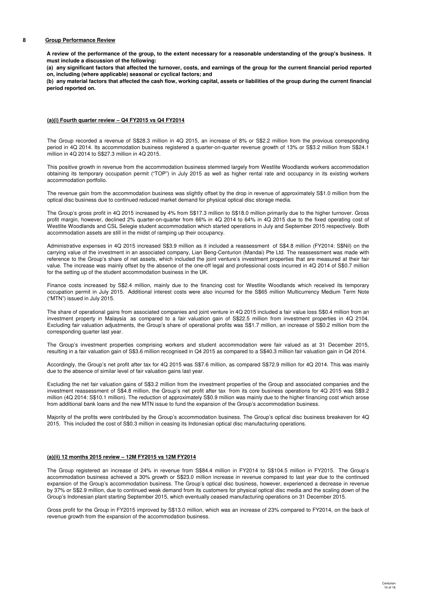#### **8 Group Performance Review**

**A review of the performance of the group, to the extent necessary for a reasonable understanding of the group's business. It must include a discussion of the following:**

**(a) any significant factors that affected the turnover, costs, and earnings of the group for the current financial period reported on, including (where applicable) seasonal or cyclical factors; and**

**(b) any material factors that affected the cash flow, working capital, assets or liabilities of the group during the current financial period reported on.**

#### **(a)(i) Fourth quarter review – Q4 FY2015 vs Q4 FY2014**

The Group recorded a revenue of S\$28.3 million in 4Q 2015, an increase of 8% or S\$2.2 million from the previous corresponding period in 4Q 2014. Its accommodation business registered a quarter-on-quarter revenue growth of 13% or S\$3.2 million from S\$24.1 million in 4Q 2014 to S\$27.3 million in 4Q 2015.

This positive growth in revenue from the accommodation business stemmed largely from Westlite Woodlands workers accommodation obtaining its temporary occupation permit ("TOP") in July 2015 as well as higher rental rate and occupancy in its existing workers accommodation portfolio.

The revenue gain from the accommodation business was slightly offset by the drop in revenue of approximately S\$1.0 million from the optical disc business due to continued reduced market demand for physical optical disc storage media.

The Group's gross profit in 4Q 2015 increased by 4% from S\$17.3 million to S\$18.0 million primarily due to the higher turnover. Gross profit margin, however, declined 2% quarter-on-quarter from 66% in 4Q 2014 to 64% in 4Q 2015 due to the fixed operating cost of Westlite Woodlands and CSL Selegie student accommodation which started operations in July and September 2015 respectively. Both accommodation assets are still in the midst of ramping up their occupancy.

Administrative expenses in 4Q 2015 increased S\$3.9 million as it included a reassessment of S\$4.8 million (FY2014: S\$Nil) on the carrying value of the investment in an associated company, Lian Beng-Centurion (Mandai) Pte Ltd. The reassessment was made with reference to the Group's share of net assets, which included the joint venture's investment properties that are measured at their fair value. The increase was mainly offset by the absence of the one-off legal and professional costs incurred in 4Q 2014 of S\$0.7 million for the setting up of the student accommodation business in the UK.

Finance costs increased by S\$2.4 million, mainly due to the financing cost for Westlite Woodlands which received its temporary occupation permit in July 2015. Additional interest costs were also incurred for the S\$65 million Multicurrency Medium Term Note ("MTN") issued in July 2015.

The share of operational gains from associated companies and joint venture in 4Q 2015 included a fair value loss S\$0.4 million from an investment property in Malaysia as compared to a fair valuation gain of S\$22.5 million from investment properties in 4Q 2104. Excluding fair valuation adjustments, the Group's share of operational profits was S\$1.7 million, an increase of S\$0.2 million from the corresponding quarter last year.

The Group's investment properties comprising workers and student accommodation were fair valued as at 31 December 2015, resulting in a fair valuation gain of S\$3.6 million recognised in Q4 2015 as compared to a S\$40.3 million fair valuation gain in Q4 2014.

Accordingly, the Group's net profit after tax for 4Q 2015 was S\$7.6 million, as compared S\$72.9 million for 4Q 2014. This was mainly due to the absence of similar level of fair valuation gains last year.

Excluding the net fair valuation gains of S\$3.2 million from the investment properties of the Group and associated companies and the investment reassessment of S\$4.8 million, the Group's net profit after tax from its core business operations for 4Q 2015 was S\$9.2 million (4Q 2014: S\$10.1 million). The reduction of approximately S\$0.9 million was mainly due to the higher financing cost which arose from additional bank loans and the new MTN issue to fund the expansion of the Group's accommodation business.

Majority of the profits were contributed by the Group's accommodation business. The Group's optical disc business breakeven for 4Q 2015. This included the cost of S\$0.3 million in ceasing its Indonesian optical disc manufacturing operations.

#### **(a)(ii) 12 months 2015 review – 12M FY2015 vs 12M FY2014**

The Group registered an increase of 24% in revenue from S\$84.4 million in FY2014 to S\$104.5 million in FY2015. The Group's accommodation business achieved a 30% growth or S\$23.0 million increase in revenue compared to last year due to the continued expansion of the Group's accommodation business. The Group's optical disc business, however, experienced a decrease in revenue by 37% or S\$2.9 million, due to continued weak demand from its customers for physical optical disc media and the scaling down of the Group's Indonesian plant starting September 2015, which eventually ceased manufacturing operations on 31 December 2015.

Gross profit for the Group in FY2015 improved by S\$13.0 million, which was an increase of 23% compared to FY2014, on the back of revenue growth from the expansion of the accommodation business.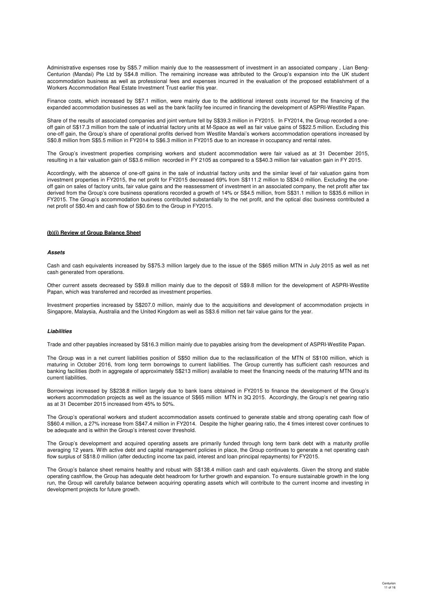Administrative expenses rose by S\$5.7 million mainly due to the reassessment of investment in an associated company , Lian Beng-Centurion (Mandai) Pte Ltd by S\$4.8 million. The remaining increase was attributed to the Group's expansion into the UK student accommodation business as well as professional fees and expenses incurred in the evaluation of the proposed establishment of a Workers Accommodation Real Estate Investment Trust earlier this year.

Finance costs, which increased by S\$7.1 million, were mainly due to the additional interest costs incurred for the financing of the expanded accommodation businesses as well as the bank facility fee incurred in financing the development of ASPRI-Westlite Papan.

Share of the results of associated companies and joint venture fell by S\$39.3 million in FY2015. In FY2014, the Group recorded a oneoff gain of S\$17.3 million from the sale of industrial factory units at M-Space as well as fair value gains of S\$22.5 million. Excluding this one-off gain, the Group's share of operational profits derived from Westlite Mandai's workers accommodation operations increased by S\$0.8 million from S\$5.5 million in FY2014 to S\$6.3 million in FY2015 due to an increase in occupancy and rental rates.

The Group's investment properties comprising workers and student accommodation were fair valued as at 31 December 2015, resulting in a fair valuation gain of S\$3.6 million recorded in FY 2105 as compared to a S\$40.3 million fair valuation gain in FY 2015.

Accordingly, with the absence of one-off gains in the sale of industrial factory units and the similar level of fair valuation gains from investment properties in FY2015, the net profit for FY2015 decreased 69% from S\$111.2 million to S\$34.0 million. Excluding the oneoff gain on sales of factory units, fair value gains and the reassessment of investment in an associated company, the net profit after tax derived from the Group's core business operations recorded a growth of 14% or S\$4.5 million, from S\$31.1 million to S\$35.6 million in FY2015. The Group's accommodation business contributed substantially to the net profit, and the optical disc business contributed a net profit of S\$0.4m and cash flow of S\$0.6m to the Group in FY2015.

#### **(b)(i) Review of Group Balance Sheet**

#### **Assets**

Cash and cash equivalents increased by S\$75.3 million largely due to the issue of the S\$65 million MTN in July 2015 as well as net cash generated from operations.

Other current assets decreased by S\$9.8 million mainly due to the deposit of S\$9.8 million for the development of ASPRI-Westlite Papan, which was transferred and recorded as investment properties.

Investment properties increased by S\$207.0 million, mainly due to the acquisitions and development of accommodation projects in Singapore, Malaysia, Australia and the United Kingdom as well as S\$3.6 million net fair value gains for the year.

### **Liabilities**

Trade and other payables increased by S\$16.3 million mainly due to payables arising from the development of ASPRI-Westlite Papan.

The Group was in a net current liabilities position of S\$50 million due to the reclassification of the MTN of S\$100 million, which is maturing in October 2016, from long term borrowings to current liabilities. The Group currently has sufficient cash resources and banking facilities (both in aggregate of approximately S\$213 million) available to meet the financing needs of the maturing MTN and its current liabilities.

Borrowings increased by S\$238.8 million largely due to bank loans obtained in FY2015 to finance the development of the Group's workers accommodation projects as well as the issuance of S\$65 million MTN in 3Q 2015. Accordingly, the Group's net gearing ratio as at 31 December 2015 increased from 45% to 50%.

The Group's operational workers and student accommodation assets continued to generate stable and strong operating cash flow of S\$60.4 million, a 27% increase from S\$47.4 million in FY2014. Despite the higher gearing ratio, the 4 times interest cover continues to be adequate and is within the Group's interest cover threshold.

The Group's development and acquired operating assets are primarily funded through long term bank debt with a maturity profile averaging 12 years. With active debt and capital management policies in place, the Group continues to generate a net operating cash flow surplus of S\$18.0 million (after deducting income tax paid, interest and loan principal repayments) for FY2015.

The Group's balance sheet remains healthy and robust with S\$138.4 million cash and cash equivalents. Given the strong and stable operating cashflow, the Group has adequate debt headroom for further growth and expansion. To ensure sustainable growth in the long run, the Group will carefully balance between acquiring operating assets which will contribute to the current income and investing in development projects for future growth.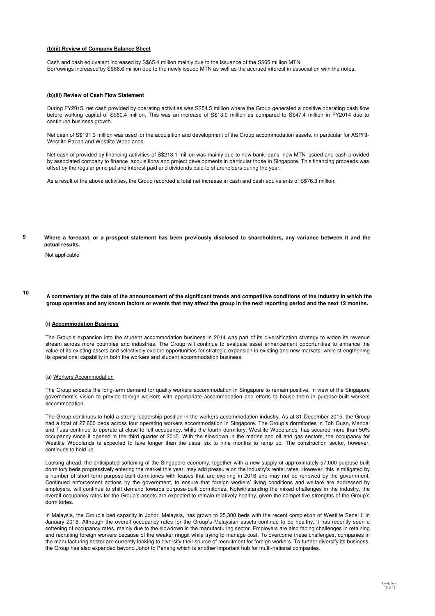#### **(b)(ii) Review of Company Balance Sheet**

Cash and cash equivalent increased by S\$65.4 million mainly due to the issuance of the S\$65 million MTN. Borrowings increased by S\$66.6 million due to the newly issued MTN as well as the accrued interest in association with the notes.

#### **(b)(iii) Review of Cash Flow Statement**

During FY2015, net cash provided by operating activities was S\$54.5 million where the Group generated a positive operating cash flow before working capital of S\$60.4 million. This was an increase of S\$13.0 million as compared to S\$47.4 million in FY2014 due to continued business growth.

Net cash of S\$191.3 million was used for the acquisition and development of the Group accommodation assets, in particular for ASPRI-Westlite Papan and Westlite Woodlands.

Net cash of provided by financing activities of S\$213.1 million was mainly due to new bank loans, new MTN issued and cash provided by associated company to finance acquisitions and project developments in particular those in Singapore. This financing proceeds was offset by the regular principal and interest paid and dividends paid to shareholders during the year.

As a result of the above activities, the Group recorded a total net increase in cash and cash equivalents of S\$76.3 million.

**9 Where a forecast, or a prospect statement has been previously disclosed to shareholders, any variance between it and the actual results.**

Not applicable

**10**

**A commentary at the date of the announcement of the significant trends and competitive conditions of the industry in which the group operates and any known factors or events that may affect the group in the next reporting period and the next 12 months.**

#### **(i) Accommodation Business**

The Group's expansion into the student accommodation business in 2014 was part of its diversification strategy to widen its revenue stream across more countries and industries. The Group will continue to evaluate asset enhancement opportunities to enhance the value of its existing assets and selectively explore opportunities for strategic expansion in existing and new markets, while strengthening its operational capability in both the workers and student accommodation business.

#### (a) Workers Accommodation

The Group expects the long-term demand for quality workers accommodation in Singapore to remain positive, in view of the Singapore government's vision to provide foreign workers with appropriate accommodation and efforts to house them in purpose-built workers accommodation.

The Group continues to hold a strong leadership position in the workers accommodation industry. As at 31 December 2015, the Group had a total of 27,600 beds across four operating workers accommodation in Singapore. The Group's dormitories in Toh Guan, Mandai and Tuas continue to operate at close to full occupancy, while the fourth dormitory, Westlite Woodlands, has secured more than 50% occupancy since it opened in the third quarter of 2015. With the slowdown in the marine and oil and gas sectors, the occupancy for Westlite Woodlands is expected to take longer than the usual six to nine months to ramp up. The construction sector, however, continues to hold up.

Looking ahead, the anticipated softening of the Singapore economy, together with a new supply of approximately 57,000 purpose-built dormitory beds progressively entering the market this year, may add pressure on the industry's rental rates. However, this is mitigated by a number of short-term purpose-built dormitories with leases that are expiring in 2016 and may not be renewed by the government. Continued enforcement actions by the government, to ensure that foreign workers' living conditions and welfare are addressed by employers, will continue to shift demand towards purpose-built dormitories. Notwithstanding the mixed challenges in the industry, the overall occupancy rates for the Group's assets are expected to remain relatively healthy, given the competitive strengths of the Group's dormitories.

In Malaysia, the Group's bed capacity in Johor, Malaysia, has grown to 25,300 beds with the recent completion of Westlite Senai II in January 2016. Although the overall occupancy rates for the Group's Malaysian assets continue to be healthy, it has recently seen a softening of occupancy rates, mainly due to the slowdown in the manufacturing sector. Employers are also facing challenges in retaining and recruiting foreign workers because of the weaker ringgit while trying to manage cost. To overcome these challenges, companies in the manufacturing sector are currently looking to diversify their source of recruitment for foreign workers. To further diversify its business, the Group has also expanded beyond Johor to Penang which is another important hub for multi-national companies.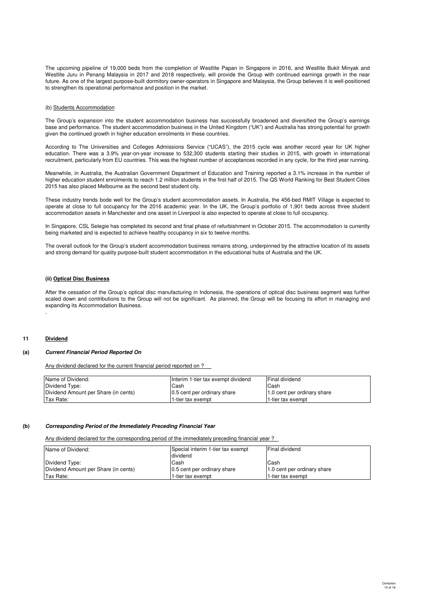The upcoming pipeline of 19,000 beds from the completion of Westlite Papan in Singapore in 2016, and Westlite Bukit Minyak and Westlite Juru in Penang Malaysia in 2017 and 2018 respectively, will provide the Group with continued earnings growth in the near future. As one of the largest purpose-built dormitory owner-operators in Singapore and Malaysia, the Group believes it is well-positioned to strengthen its operational performance and position in the market.

### (b) Students Accommodation

The Group's expansion into the student accommodation business has successfully broadened and diversified the Group's earnings base and performance. The student accommodation business in the United Kingdom ("UK") and Australia has strong potential for growth given the continued growth in higher education enrolments in these countries.

According to The Universities and Colleges Admissions Service ("UCAS"), the 2015 cycle was another record year for UK higher education. There was a 3.9% year-on-year increase to 532,300 students starting their studies in 2015, with growth in international recruitment, particularly from EU countries. This was the highest number of acceptances recorded in any cycle, for the third year running.

Meanwhile, in Australia, the Australian Government Department of Education and Training reported a 3.1% increase in the number of higher education student enrolments to reach 1.2 million students in the first half of 2015. The QS World Ranking for Best Student Cities 2015 has also placed Melbourne as the second best student city.

These industry trends bode well for the Group's student accommodation assets. In Australia, the 456-bed RMIT Village is expected to operate at close to full occupancy for the 2016 academic year. In the UK, the Group's portfolio of 1,901 beds across three student accommodation assets in Manchester and one asset in Liverpool is also expected to operate at close to full occupancy.

In Singapore, CSL Selegie has completed its second and final phase of refurbishment in October 2015. The accommodation is currently being marketed and is expected to achieve healthy occupancy in six to twelve months.

The overall outlook for the Group's student accommodation business remains strong, underpinned by the attractive location of its assets and strong demand for quality purpose-built student accommodation in the educational hubs of Australia and the UK.

### **(ii) Optical Disc Business**

After the cessation of the Group's optical disc manufacturing in Indonesia, the operations of optical disc business segment was further scaled down and contributions to the Group will not be significant. As planned, the Group will be focusing its effort in managing and expanding its Accommodation Business.

#### **11 Dividend**

.

#### **(a) Current Financial Period Reported On**

Any dividend declared for the current financial period reported on ?

| Name of Dividend:                    | Interim 1-tier tax exempt dividend | Final dividend              |
|--------------------------------------|------------------------------------|-----------------------------|
| Dividend Type:                       | Cash                               | Cash                        |
| Dividend Amount per Share (in cents) | 0.5 cent per ordinary share        | 1.0 cent per ordinary share |
| Tax Rate:                            | 1-tier tax exempt                  | 1-tier tax exempt           |

#### **(b) Corresponding Period of the Immediately Preceding Financial Year**

Any dividend declared for the corresponding period of the immediately preceding financial year ?

| Name of Dividend:                    | Special interim 1-tier tax exempt | Final dividend              |
|--------------------------------------|-----------------------------------|-----------------------------|
|                                      | dividend                          |                             |
| Dividend Type:                       | Cash                              | Cash                        |
| Dividend Amount per Share (in cents) | 0.5 cent per ordinary share       | 1.0 cent per ordinary share |
| Tax Rate:                            | 1-tier tax exempt                 | 1-tier tax exempt           |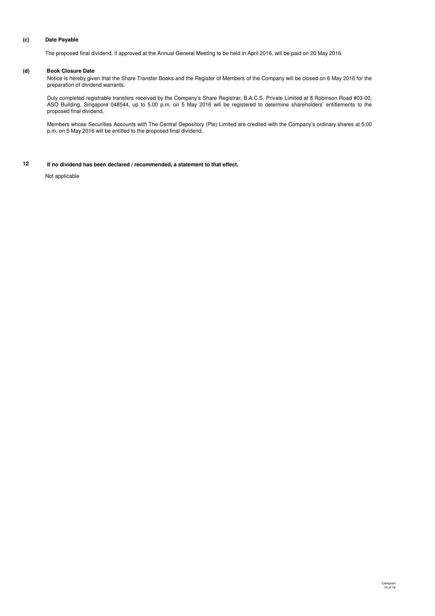### **(c) Date Payable**

The proposed final dividend, if approved at the Annual General Meeting to be held in April 2016, will be paid on 20 May 2016.

### **(d) Book Closure Date**

Notice is hereby given that the Share Transfer Books and the Register of Members of the Company will be closed on 6 May 2016 for the preparation of dividend warrants.

Duly completed registrable transfers received by the Company's Share Registrar, B.A.C.S. Private Limited at 8 Robinson Road #03-00, ASO Building, Singapore 048544, up to 5.00 p.m. on 5 May 2016 will be registered to determine shareholders' entitlements to the proposed final dividend.

Members whose Securities Accounts with The Central Depository (Pte) Limited are credited with the Company's ordinary shares at 5.00 p.m. on 5 May 2016 will be entitled to the proposed final dividend.

**12 If no dividend has been declared / recommended, a statement to that effect.**

Not applicable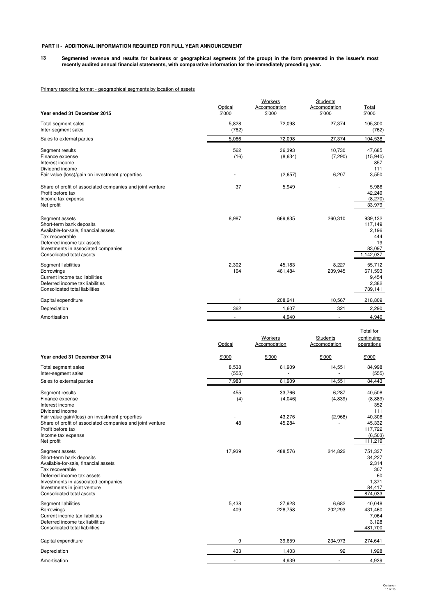### **PART II - ADDITIONAL INFORMATION REQUIRED FOR FULL YEAR ANNOUNCEMENT**

**13 Segmented revenue and results for business or geographical segments (of the group) in the form presented in the issuer's most recently audited annual financial statements, with comparative information for the immediately preceding year.**

### Primary reporting format - geographical segments by location of assets

| Year ended 31 December 2015                                                                                                                                                                                                             | Optical<br>\$'000          | Workers<br>Accomodation<br>\$'000           | Students<br>Accomodation<br>\$'000           | <b>Total</b><br>\$'000                                                |
|-----------------------------------------------------------------------------------------------------------------------------------------------------------------------------------------------------------------------------------------|----------------------------|---------------------------------------------|----------------------------------------------|-----------------------------------------------------------------------|
| Total segment sales<br>Inter-segment sales                                                                                                                                                                                              | 5,828<br>(762)             | 72,098                                      | 27,374                                       | 105,300<br>(762)                                                      |
| Sales to external parties                                                                                                                                                                                                               | 5,066                      | 72,098                                      | 27,374                                       | 104,538                                                               |
| Segment results<br>Finance expense<br>Interest income<br>Dividend income<br>Fair value (loss)/gain on investment properties                                                                                                             | 562<br>(16)                | 36,393<br>(8,634)<br>(2,657)                | 10,730<br>(7, 290)<br>6,207                  | 47,685<br>(15, 940)<br>857<br>111<br>3,550                            |
| Share of profit of associated companies and joint venture                                                                                                                                                                               | 37                         | 5,949                                       |                                              | 5,986                                                                 |
| Profit before tax<br>Income tax expense<br>Net profit                                                                                                                                                                                   |                            |                                             |                                              | 42,249<br>(8, 270)<br>33,979                                          |
| Segment assets<br>Short-term bank deposits<br>Available-for-sale, financial assets<br>Tax recoverable<br>Deferred income tax assets<br>Investments in associated companies<br>Consolidated total assets                                 | 8,987                      | 669,835                                     | 260,310                                      | 939,132<br>117,149<br>2,196<br>444<br>19<br>83,097<br>1,142,037       |
| Segment liabilities<br><b>Borrowings</b><br>Current income tax liabilities<br>Deferred income tax liabilities<br>Consolidated total liabilities                                                                                         | 2,302<br>164               | 45,183<br>461,484                           | 8,227<br>209,945                             | 55,712<br>671,593<br>9,454<br>2,382<br>739,141                        |
| Capital expenditure                                                                                                                                                                                                                     | 1                          | 208,241                                     | 10,567                                       | 218,809                                                               |
| Depreciation                                                                                                                                                                                                                            | 362                        | 1,607                                       | 321                                          | 2,290                                                                 |
| Amortisation                                                                                                                                                                                                                            | ä,                         | 4,940                                       | L.                                           | 4,940                                                                 |
| Year ended 31 December 2014<br>Total segment sales                                                                                                                                                                                      | Optical<br>\$'000<br>8,538 | Workers<br>Accomodation<br>\$'000<br>61,909 | Students<br>Accomodation<br>\$'000<br>14,551 | Total for<br>continuing<br>operations<br>\$'000<br>84,998             |
| Inter-segment sales                                                                                                                                                                                                                     | (555)                      |                                             |                                              | (555)<br>84,443                                                       |
| Sales to external parties<br>Segment results<br>Finance expense<br>Interest income<br>Dividend income                                                                                                                                   | 7,983<br>455<br>(4)        | 61,909<br>33,766<br>(4,046)                 | 14,551<br>6,287<br>(4,839)                   | 40,508<br>(8,889)<br>352<br>111                                       |
| Fair value gain/(loss) on investment properties<br>Share of profit of associated companies and joint venture<br>Profit before tax<br>Income tax expense<br>Net profit                                                                   | 48                         | 43,276<br>45,284                            | (2,968)                                      | 40,308<br>45,332<br>117,722<br>(6, 503)<br>111,219                    |
| Segment assets<br>Short-term bank deposits<br>Available-for-sale, financial assets<br>Tax recoverable<br>Deferred income tax assets<br>Investments in associated companies<br>Investments in joint venture<br>Consolidated total assets | 17,939                     | 488,576                                     | 244,822                                      | 751,337<br>34,227<br>2,314<br>307<br>60<br>1,371<br>84,417<br>874,033 |
| Segment liabilities<br>Borrowings<br>Current income tax liabilities<br>Deferred income tax liabilities<br>Consolidated total liabilities                                                                                                | 5,438<br>409               | 27,928<br>228,758                           | 6,682<br>202,293                             | 40,048<br>431,460<br>7,064<br>3,128<br>481,700                        |
| Capital expenditure                                                                                                                                                                                                                     | 9                          | 39,659                                      | 234,973                                      | 274,641                                                               |
| Depreciation                                                                                                                                                                                                                            | 433                        | 1,403                                       | 92                                           | 1,928                                                                 |
|                                                                                                                                                                                                                                         |                            |                                             |                                              |                                                                       |